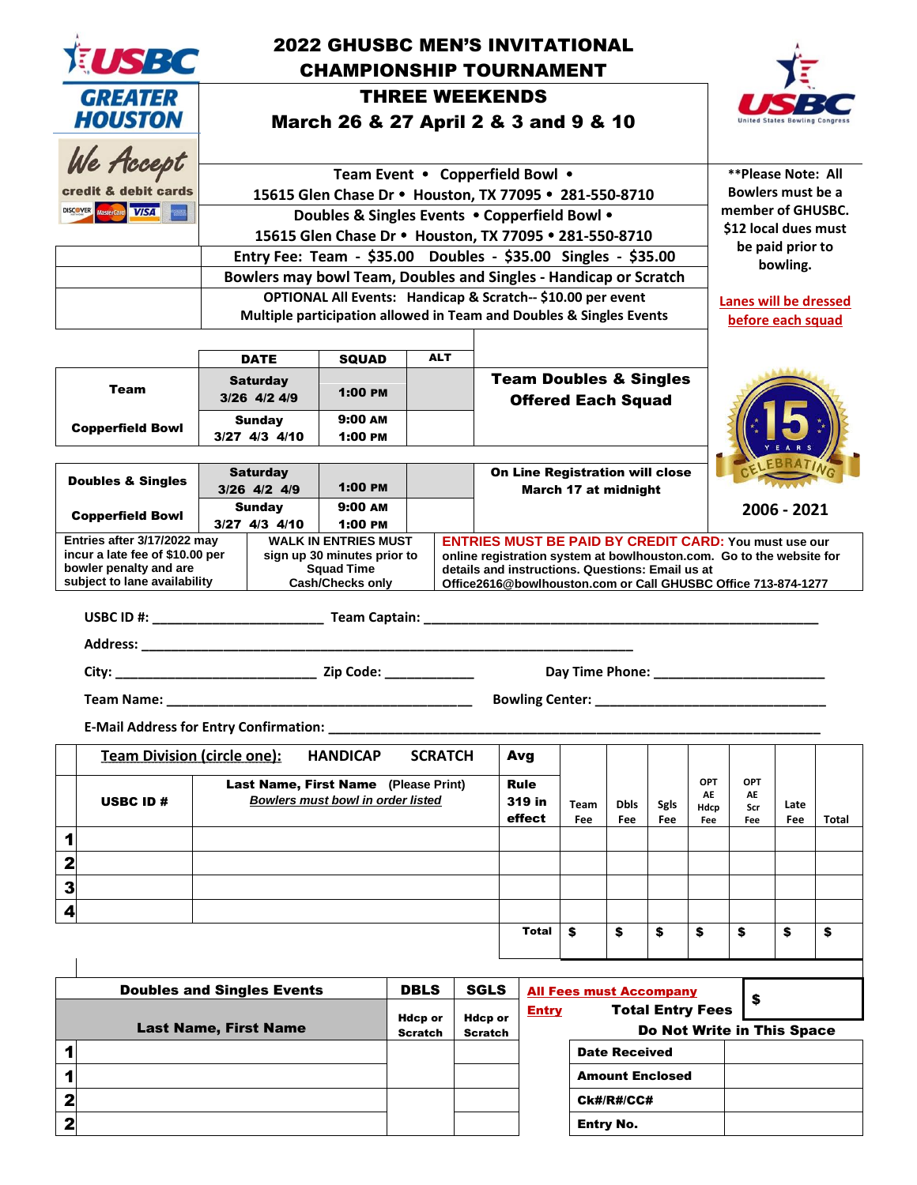|                                                                                | <b>2022 GHUSBC MEN'S INVITATIONAL</b><br>EUSBC<br><b>CHAMPIONSHIP TOURNAMENT</b>                                                             |                                                                                                         |                                  |                                                                                                     |                               |                                                                                                                                                                                                                                                           |  |                                                |                                                           |                                                                |                                        |                                   |                                                   |             |       |  |
|--------------------------------------------------------------------------------|----------------------------------------------------------------------------------------------------------------------------------------------|---------------------------------------------------------------------------------------------------------|----------------------------------|-----------------------------------------------------------------------------------------------------|-------------------------------|-----------------------------------------------------------------------------------------------------------------------------------------------------------------------------------------------------------------------------------------------------------|--|------------------------------------------------|-----------------------------------------------------------|----------------------------------------------------------------|----------------------------------------|-----------------------------------|---------------------------------------------------|-------------|-------|--|
|                                                                                | <b>GREATER</b><br><b>HOUSTON</b>                                                                                                             | <b>THREE WEEKENDS</b><br>March 26 & 27 April 2 & 3 and 9 & 10                                           |                                  |                                                                                                     |                               |                                                                                                                                                                                                                                                           |  |                                                |                                                           |                                                                | <b>Jnited States Bowling Congres</b>   |                                   |                                                   |             |       |  |
|                                                                                | We Accept                                                                                                                                    | Team Event • Copperfield Bowl •                                                                         |                                  |                                                                                                     |                               |                                                                                                                                                                                                                                                           |  |                                                |                                                           |                                                                | <b>**Please Note: All</b>              |                                   |                                                   |             |       |  |
|                                                                                | credit & debit cards<br>DISCOVER Mastercard VISA                                                                                             | 15615 Glen Chase Dr . Houston, TX 77095 . 281-550-8710                                                  |                                  |                                                                                                     |                               |                                                                                                                                                                                                                                                           |  |                                                |                                                           |                                                                | Bowlers must be a<br>member of GHUSBC. |                                   |                                                   |             |       |  |
|                                                                                |                                                                                                                                              | Doubles & Singles Events . Copperfield Bowl .<br>15615 Glen Chase Dr . Houston, TX 77095 . 281-550-8710 |                                  |                                                                                                     |                               |                                                                                                                                                                                                                                                           |  |                                                |                                                           |                                                                |                                        | \$12 local dues must              |                                                   |             |       |  |
|                                                                                |                                                                                                                                              | Entry Fee: Team - \$35.00 Doubles - \$35.00 Singles - \$35.00                                           |                                  |                                                                                                     |                               |                                                                                                                                                                                                                                                           |  |                                                |                                                           |                                                                |                                        |                                   | be paid prior to<br>bowling.                      |             |       |  |
|                                                                                |                                                                                                                                              | Bowlers may bowl Team, Doubles and Singles - Handicap or Scratch                                        |                                  |                                                                                                     |                               |                                                                                                                                                                                                                                                           |  |                                                |                                                           |                                                                |                                        |                                   |                                                   |             |       |  |
|                                                                                | OPTIONAL All Events: Handicap & Scratch-- \$10.00 per event<br>Multiple participation allowed in Team and Doubles & Singles Events           |                                                                                                         |                                  |                                                                                                     |                               |                                                                                                                                                                                                                                                           |  |                                                |                                                           |                                                                |                                        |                                   | <b>Lanes will be dressed</b><br>before each squad |             |       |  |
|                                                                                | <b>ALT</b><br><b>DATE</b><br><b>SQUAD</b>                                                                                                    |                                                                                                         |                                  |                                                                                                     |                               |                                                                                                                                                                                                                                                           |  |                                                |                                                           |                                                                |                                        |                                   |                                                   |             |       |  |
|                                                                                | Team                                                                                                                                         |                                                                                                         | <b>Saturday</b><br>3/26 4/2 4/9  | 1:00 PM                                                                                             |                               |                                                                                                                                                                                                                                                           |  |                                                |                                                           | <b>Team Doubles &amp; Singles</b><br><b>Offered Each Squad</b> |                                        |                                   |                                                   |             |       |  |
|                                                                                | <b>Copperfield Bowl</b>                                                                                                                      | <b>Sunday</b><br>3/27 4/3 4/10                                                                          |                                  | $9:00$ AM<br>1:00 PM                                                                                |                               |                                                                                                                                                                                                                                                           |  |                                                |                                                           |                                                                |                                        |                                   |                                                   |             |       |  |
|                                                                                | <b>On Line Registration will close</b><br><b>Saturday</b><br><b>Doubles &amp; Singles</b><br>1:00 PM<br>3/26 4/2 4/9<br>March 17 at midnight |                                                                                                         |                                  |                                                                                                     |                               |                                                                                                                                                                                                                                                           |  |                                                |                                                           |                                                                |                                        |                                   |                                                   |             |       |  |
|                                                                                | <b>Copperfield Bowl</b>                                                                                                                      |                                                                                                         | <b>Sunday</b><br>$3/27$ 4/3 4/10 | 9:00 AM<br>1:00 PM                                                                                  |                               |                                                                                                                                                                                                                                                           |  |                                                |                                                           |                                                                |                                        | 2006 - 2021                       |                                                   |             |       |  |
|                                                                                | Entries after 3/17/2022 may<br>incur a late fee of \$10.00 per<br>bowler penalty and are<br>subject to lane availability                     |                                                                                                         |                                  | <b>WALK IN ENTRIES MUST</b><br>sign up 30 minutes prior to<br><b>Squad Time</b><br>Cash/Checks only |                               | <b>ENTRIES MUST BE PAID BY CREDIT CARD: You must use our</b><br>online registration system at bowlhouston.com. Go to the website for<br>details and instructions. Questions: Email us at<br>Office2616@bowlhouston.com or Call GHUSBC Office 713-874-1277 |  |                                                |                                                           |                                                                |                                        |                                   |                                                   |             |       |  |
|                                                                                |                                                                                                                                              |                                                                                                         |                                  |                                                                                                     |                               |                                                                                                                                                                                                                                                           |  |                                                |                                                           |                                                                |                                        |                                   |                                                   |             |       |  |
|                                                                                |                                                                                                                                              |                                                                                                         |                                  |                                                                                                     |                               |                                                                                                                                                                                                                                                           |  |                                                |                                                           |                                                                |                                        |                                   |                                                   |             |       |  |
|                                                                                | Day Time Phone: ______________<br>Bowling Center: __________                                                                                 |                                                                                                         |                                  |                                                                                                     |                               |                                                                                                                                                                                                                                                           |  |                                                |                                                           |                                                                |                                        |                                   |                                                   |             |       |  |
|                                                                                | Team Name: __<br><b>E-Mail Address for Entry Confirmation:</b>                                                                               |                                                                                                         |                                  |                                                                                                     |                               |                                                                                                                                                                                                                                                           |  |                                                |                                                           |                                                                |                                        |                                   |                                                   |             |       |  |
| <b>Team Division (circle one):</b><br><b>HANDICAP</b><br><b>SCRATCH</b><br>Avg |                                                                                                                                              |                                                                                                         |                                  |                                                                                                     |                               |                                                                                                                                                                                                                                                           |  |                                                |                                                           |                                                                |                                        |                                   |                                                   |             |       |  |
|                                                                                | <b>USBC ID#</b>                                                                                                                              | Last Name, First Name (Please Print)<br>Bowlers must bowl in order listed                               |                                  |                                                                                                     |                               |                                                                                                                                                                                                                                                           |  | <b>Rule</b><br>319 in<br>Team<br>effect<br>Fee |                                                           | <b>Dbls</b><br>Fee                                             | <b>Sgls</b><br>Fee                     | <b>OPT</b><br>AE<br>Hdcp<br>Fee   | <b>OPT</b><br>AE<br>Scr<br>Fee                    | Late<br>Fee | Total |  |
| 1                                                                              |                                                                                                                                              |                                                                                                         |                                  |                                                                                                     |                               |                                                                                                                                                                                                                                                           |  |                                                |                                                           |                                                                |                                        |                                   |                                                   |             |       |  |
| 2                                                                              |                                                                                                                                              |                                                                                                         |                                  |                                                                                                     |                               |                                                                                                                                                                                                                                                           |  |                                                |                                                           |                                                                |                                        |                                   |                                                   |             |       |  |
| 3<br>4                                                                         |                                                                                                                                              |                                                                                                         |                                  |                                                                                                     |                               |                                                                                                                                                                                                                                                           |  |                                                |                                                           |                                                                |                                        |                                   |                                                   |             |       |  |
|                                                                                |                                                                                                                                              |                                                                                                         |                                  |                                                                                                     |                               |                                                                                                                                                                                                                                                           |  | Total                                          | \$                                                        | \$                                                             | \$                                     | \$                                | \$                                                | \$          | \$    |  |
|                                                                                |                                                                                                                                              |                                                                                                         |                                  |                                                                                                     |                               |                                                                                                                                                                                                                                                           |  |                                                |                                                           |                                                                |                                        |                                   |                                                   |             |       |  |
| <b>Doubles and Singles Events</b>                                              |                                                                                                                                              |                                                                                                         |                                  |                                                                                                     | <b>DBLS</b><br><b>Hdcp or</b> | <b>SGLS</b><br><b>Hdcp or</b>                                                                                                                                                                                                                             |  | <b>Entry</b>                                   | <b>All Fees must Accompany</b><br><b>Total Entry Fees</b> |                                                                |                                        |                                   | \$                                                |             |       |  |
| <b>Last Name, First Name</b>                                                   |                                                                                                                                              |                                                                                                         |                                  | <b>Scratch</b>                                                                                      | <b>Scratch</b>                |                                                                                                                                                                                                                                                           |  |                                                |                                                           |                                                                |                                        | <b>Do Not Write in This Space</b> |                                                   |             |       |  |
| 1<br>1                                                                         |                                                                                                                                              |                                                                                                         |                                  |                                                                                                     |                               |                                                                                                                                                                                                                                                           |  |                                                |                                                           | <b>Date Received</b>                                           |                                        |                                   |                                                   |             |       |  |
| $\overline{\mathbf{2}}$                                                        |                                                                                                                                              |                                                                                                         |                                  |                                                                                                     |                               |                                                                                                                                                                                                                                                           |  |                                                |                                                           | <b>Amount Enclosed</b><br><b>Ck#/R#/CC#</b>                    |                                        |                                   |                                                   |             |       |  |
| $\overline{\mathbf{2}}$                                                        |                                                                                                                                              |                                                                                                         |                                  |                                                                                                     |                               |                                                                                                                                                                                                                                                           |  |                                                |                                                           | <b>Entry No.</b>                                               |                                        |                                   |                                                   |             |       |  |
|                                                                                |                                                                                                                                              |                                                                                                         |                                  |                                                                                                     |                               |                                                                                                                                                                                                                                                           |  |                                                |                                                           |                                                                |                                        |                                   |                                                   |             |       |  |